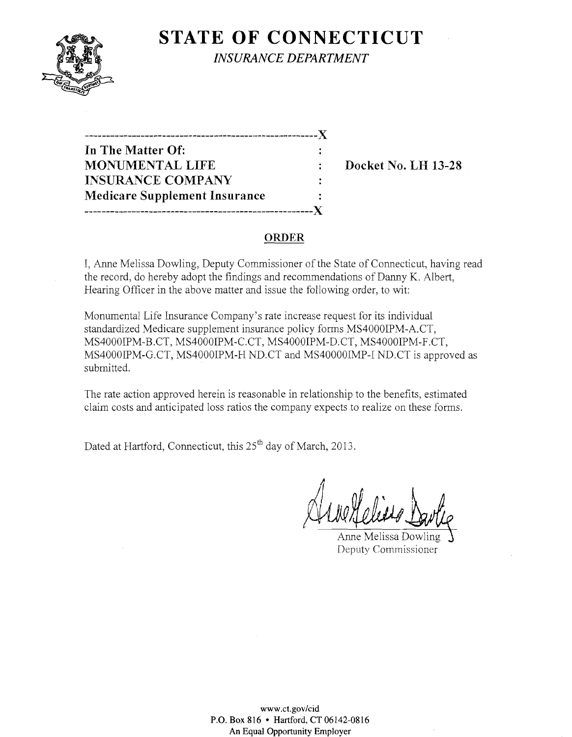

**STATE OF CONNECTICUT** *INSURANCE DEPARTMENT* 

**In** The Matter Of: MONUMENTAL LIFE : Docket No. LH 13-28 INSURANCE COMPANY Medicare Supplement Insurance -------\_.\_--------------------------------------------)(

--------..---------------------------------------------X

### ORDER

 $\ddot{\cdot}$ 

I, Anne Melissa Dowling, Deputy Commissioner of the State of Connecticut, having read the record, do hereby adopt the findings and recommendations of Danny K. Albert, Hearing Officer in the above matter and issue the following order, to wit:

Monumental Life Insurance Company's rate increase request for its individual standardized Medicare supplement insurance policy forms MS4000IPM-A.CT, MS4000IPM-B.CT, MS4000IPM-C.CT, MS4000IPM-D.CT, MS4000IPM-F.CT, MS4000IPM-G.CT, MS4000IPM-H ND.CT and MS40000IMP-I ND.CT is approved as submitted.

The rate action approved herein is reasonable in relationship to the benefits, estimated claim costs and anticipated loss ratios the company expects to realize on these forms.

Dated at Hartford, Connecticut, this 25<sup>th</sup> day of March, 2013.

Anne Melissa Dowling Deputy Commissioner

www.ct.gov/cid P.O. Box 816 • Hartford, CT 06142-0816 An Equal Opportunity Employer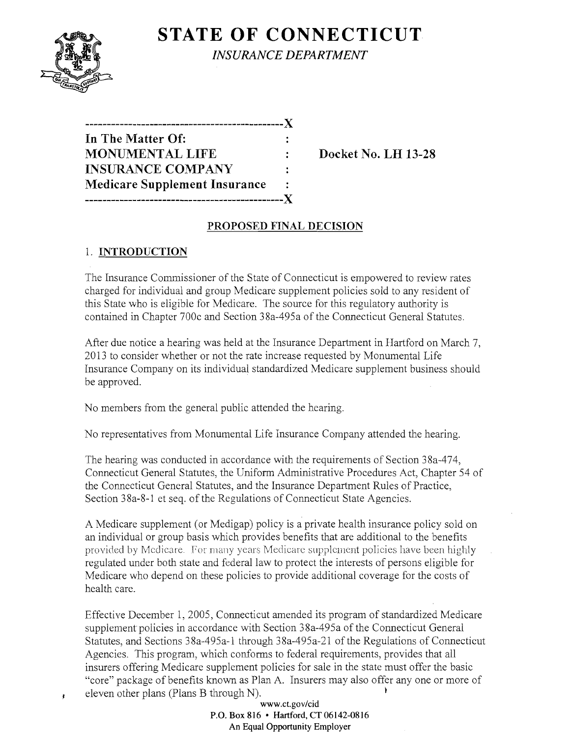

 $\mathbf{r}$ 

**STATE OF CONNECTICUT** *INSURANCE DEPARTMENT* 

| In The Matter Of:                    |   |
|--------------------------------------|---|
| <b>MONUMENTAL LIFE</b>               |   |
| <b>INSURANCE COMPANY</b>             | ٠ |
| <b>Medicare Supplement Insurance</b> |   |
|                                      |   |

Docket No. LH 13-28

## PROPOSED FINAL DECISION

# 1. INTRODUCTION

The Insurance Commissioner of the State of Connecticut is empowered to review rates charged for individual and group Medicare supplement policies sold to any resident of this State who is eligible for Medicare. The source for this regulatory authority is contained in Chapter 700c and Section 38a-495a of the Connecticut General Statutes.

After due notice a hearing was held at the Insurance Department in Hartford on March 7, 2013 to consider whether or not the rate increase requested by Monumental Life Insurance Company on its individual standardized Medicare supplement business should be approved.

No members from the general public attended the hearing.

No representatives from Monumental Life Insurance Company attended the hearing.

The hearing was conducted in accordance with the requirements of Section 38a-474, Connecticut General Statutes, the Uniform Administrative Procedures Act, Chapter 54 of the Connecticut General Statutes, and the Insurance Department Rules of Practice, Section 38a-8-1 et seq. of the Regulations of Connecticut State Agencies.

A Medicare supplement (or Medigap) policy is a private health insurance policy sold on an individual or group basis which provides benefits that are additional to the benefits provided by Medicare for many years Medicare supplement policies have been highly regulated under both state and federal law to protect the interests of persons eligible for Medicare who depend on these policies to provide additional coverage for the costs of health care.

Effective December 1,2005, Connecticut amended its program of standardized Medicare supplement policies in accordance with Section 38a-495a of the Connecticut General Statutes, and Sections 38a-495a-1 through 38a-495a-21 of the Regulations of Connecticut Agencies. This program, which conforms to federal requirements, provides that all insurers offering Medicare supplement policies for sale in the state must offer the basic "core" package of benefits known as Plan A. Insurers may also offer anyone or more of eleven other plans (Plans B through N).

> www.ct.gov/cid P.O. Box 816 • Hartford, CT 06142-0816 An Equal Opportunity Employer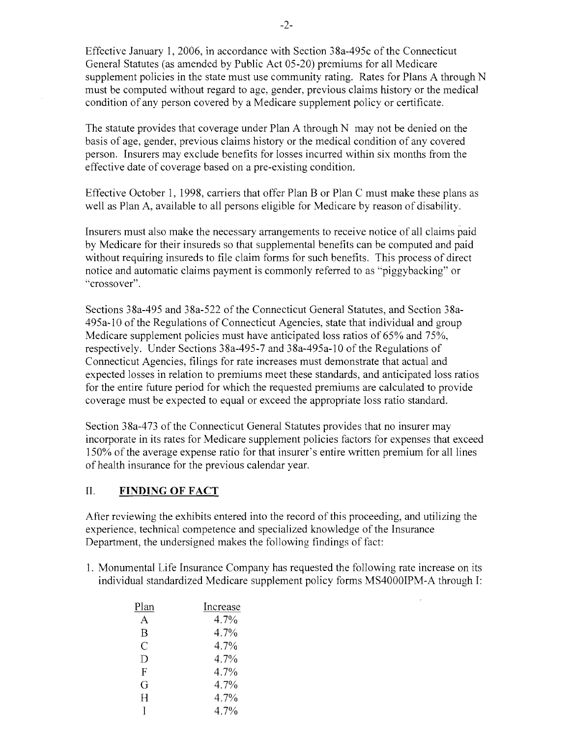Effective January 1, 2006, in accordance with Section 38a-495c of the Connecticut General Statutes (as amended by Public Act 05-20) premiums for all Medicare supplement policies in the state must use community rating. Rates for Plans A through N must be computed without regard to age, gender, previous claims history or the medical condition of any person covered by a Medicare supplement policy or certificate.

The statute provides that coverage under Plan A through N may not be denied on the basis of age, gender, previous claims history or the medical condition of any covered person. Insurers may exclude benefits for losses incurred within six months from the effective date of coverage based on a pre-existing condition.

Effective October I, 1998, carriers that offer Plan B or Plan C must make these plans as well as Plan A, available to all persons eligible for Medicare by reason of disability.

Insurers must also make the necessary arrangements to receive notice of all claims paid by Medicare for their insureds so that supplemental benefits can be computed and paid without requiring insureds to file claim forms for such benefits. This process of direct notice and automatic claims payment is commonly referred to as "piggybacking" or "crossover".

Sections 38a-495 and 38a-522 of the Connecticut General Statutes, and Section 38a-495a-IO of the Regulations of Connecticut Agencies, state that individual and group Medicare supplement policies must have anticipated loss ratios of 65% and 75%, respectively. Under Sections 38a-495-7 and 38a-495a-10 of the Regulations of Connecticut Agencies, filings for rate increases must demonstrate that actual and expected losses in relation to premiums meet these standards, and anticipated loss ratios for the entire future period for which the requested premiums are calculated to provide coverage must be expected to equal or exceed the appropriate loss ratio standard.

Section 38a-473 of the Connecticut General Statutes provides that no insurer may incorporate in its rates for Medicare supplement policies factors for expenses that exceed 150% of the average expense ratio for that insurer's entire written premium for all lines of health insurance for the previous calendar year.

#### II. **FINDING OF FACT**

After reviewing the exhibits entered into the record of this proceeding, and utilizing the experience, technical competence and specialized knowledge of the Insurance Department, the undersigned makes the following findings of fact:

1. Monumental Life Insurance Company has requested the following rate increase on its individual standardized Medicare supplement policy forms MS4000IPM-A through I:

| Plan | Increase |
|------|----------|
| А    | 4.7%     |
| B    | 4.7%     |
| C    | 4.7%     |
| D    | 4.7%     |
| F    | 4.7%     |
| G    | 4.7%     |
| H    | 4.7%     |
| I    | 4.7%     |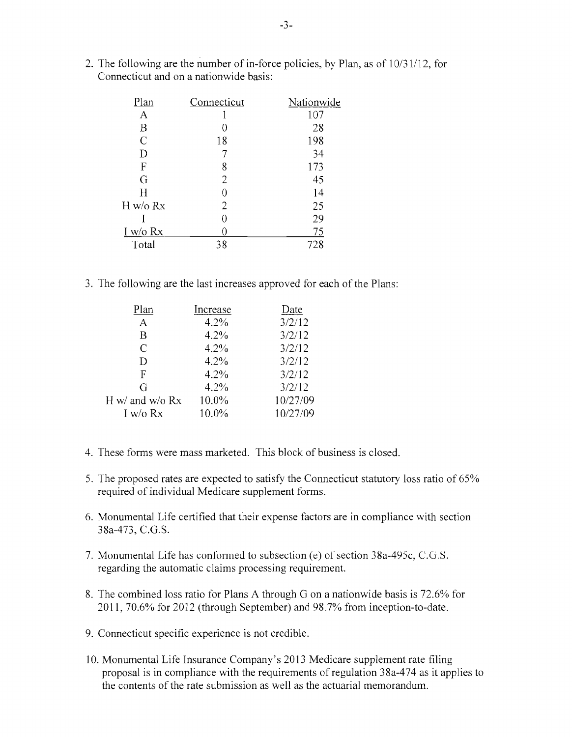2. The following are the number of in-force policies, by Plan, as of *10/31/12,* for Connecticut and on a nationwide basis:

| Connecticut | Nationwide |
|-------------|------------|
|             | 107        |
|             | 28         |
| 18          | 198        |
|             | 34         |
| 8           | 173        |
| 2           | 45         |
|             | 14         |
| 2           | 25         |
|             | 29         |
|             | 75         |
| 38          | 728        |
|             |            |

3. The following are the last increases approved for each of the Plans:

| Plan              | Increase | Date     |
|-------------------|----------|----------|
| A                 | 4.2%     | 3/2/12   |
| B                 | 4.2%     | 3/2/12   |
| C                 | 4.2%     | 3/2/12   |
| D                 | 4.2%     | 3/2/12   |
| F                 | 4.2%     | 3/2/12   |
| G                 | 4.2%     | 3/2/12   |
| H w/ and w/o $Rx$ | 10.0%    | 10/27/09 |
| I w/o Rx          | 10.0%    | 10/27/09 |

- 4. These forms were mass marketed. This block of business is closed.
- 5. The proposed rates are expected to satisfy the Connecticut statutory loss ratio of 65% required of individual Medicare supplement forms.
- 6. Monumental Life certified that their expense factors are in compliance with section 38a-473, C.G.S.
- 7. Monumental Life has conformed to subsection (e) of section 38a-495c, C.G.S. regarding the automatic claims processing requirement.
- 8. The combined loss ratio for Plans A through G on a nationwide basis is 72.6% for 2011,70.6% for 2012 (through September) and 98.7% from inception-to-date.
- 9. Connecticut specific experience is not credible.
- 10. Monumental Life Insurance Company's 2013 Medicare supplement rate filing proposal is in compliance with the requirements of regulation 38a-474 as it applies to the contents of the rate submission as well as the actuarial memorandum.